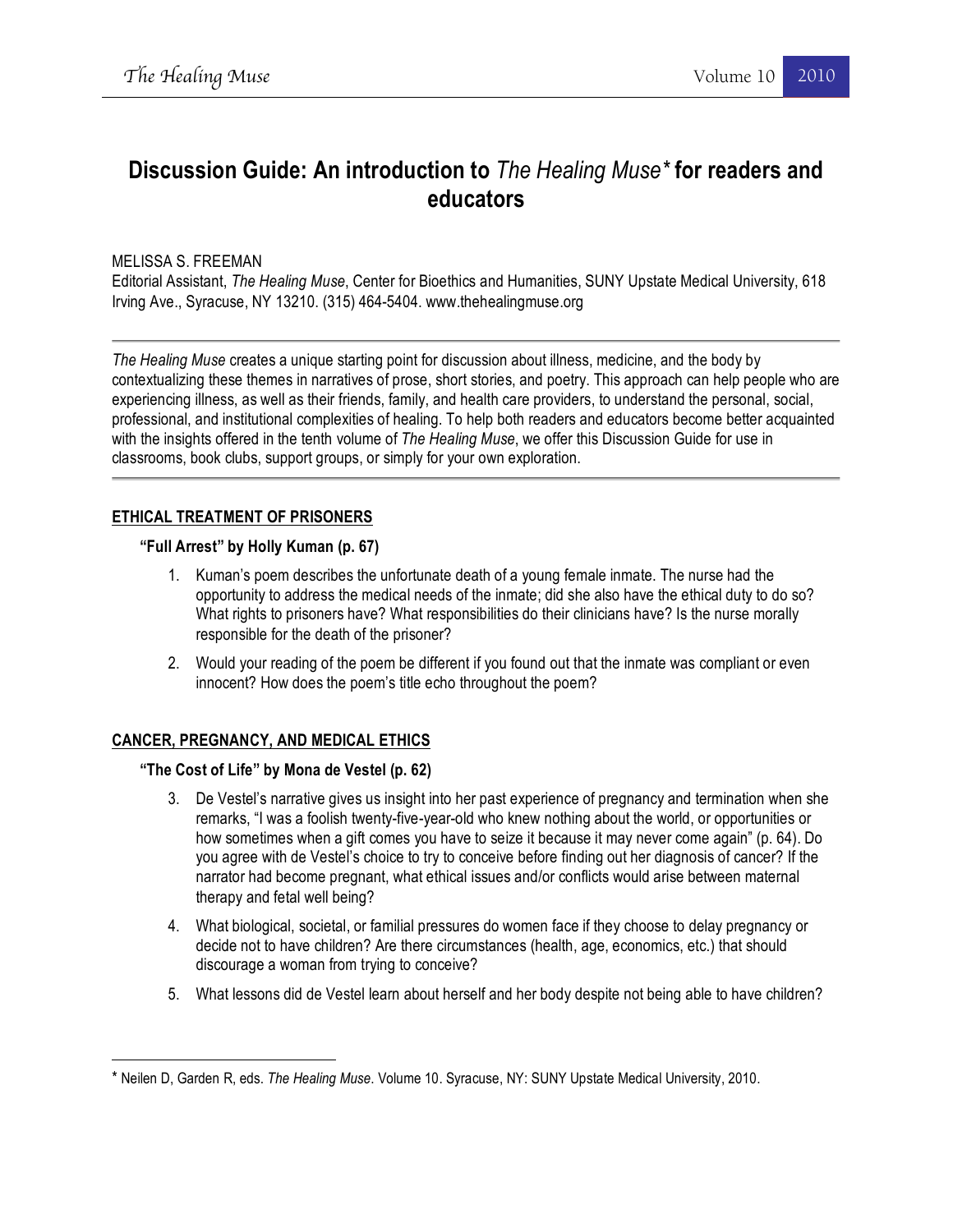# **Discussion Guide: An introduction to** *The Healing Muse\** **for readers and educators**

MELISSA S. FREEMAN

Editorial Assistant, *The Healing Muse*, Center for Bioethics and Humanities, SUNY Upstate Medical University, 618 Irving Ave., Syracuse, NY 13210. (315) 464-5404. www.thehealingmuse.org

*The Healing Muse* creates a unique starting point for discussion about illness, medicine, and the body by contextualizing these themes in narratives of prose, short stories, and poetry. This approach can help people who are experiencing illness, as well as their friends, family, and health care providers, to understand the personal, social, professional, and institutional complexities of healing. To help both readers and educators become better acquainted with the insights offered in the tenth volume of *The Healing Muse*, we offer this Discussion Guide for use in classrooms, book clubs, support groups, or simply for your own exploration.

# **ETHICAL TREATMENT OF PRISONERS**

## **"Full Arrest" by Holly Kuman (p. 67)**

- 1. Kuman's poem describes the unfortunate death of a young female inmate. The nurse had the opportunity to address the medical needs of the inmate; did she also have the ethical duty to do so? What rights to prisoners have? What responsibilities do their clinicians have? Is the nurse morally responsible for the death of the prisoner?
- 2. Would your reading of the poem be different if you found out that the inmate was compliant or even innocent? How does the poem's title echo throughout the poem?

# **CANCER, PREGNANCY, AND MEDICAL ETHICS**

!!!!!!!!!!!!!!!!!!!!!!!!!!!!!!!!!!!!!!!!!!!!!!!!!!!!!!!!!!!!

## **"The Cost of Life" by Mona de Vestel (p. 62)**

- 3. De Vestel's narrative gives us insight into her past experience of pregnancy and termination when she remarks, "I was a foolish twenty-five-year-old who knew nothing about the world, or opportunities or how sometimes when a gift comes you have to seize it because it may never come again" (p. 64). Do you agree with de Vestel's choice to try to conceive before finding out her diagnosis of cancer? If the narrator had become pregnant, what ethical issues and/or conflicts would arise between maternal therapy and fetal well being?
- 4. What biological, societal, or familial pressures do women face if they choose to delay pregnancy or decide not to have children? Are there circumstances (health, age, economics, etc.) that should discourage a woman from trying to conceive?
- 5. What lessons did de Vestel learn about herself and her body despite not being able to have children?

<sup>\*</sup> Neilen D, Garden R, eds. *The Healing Muse*. Volume 10. Syracuse, NY: SUNY Upstate Medical University, 2010.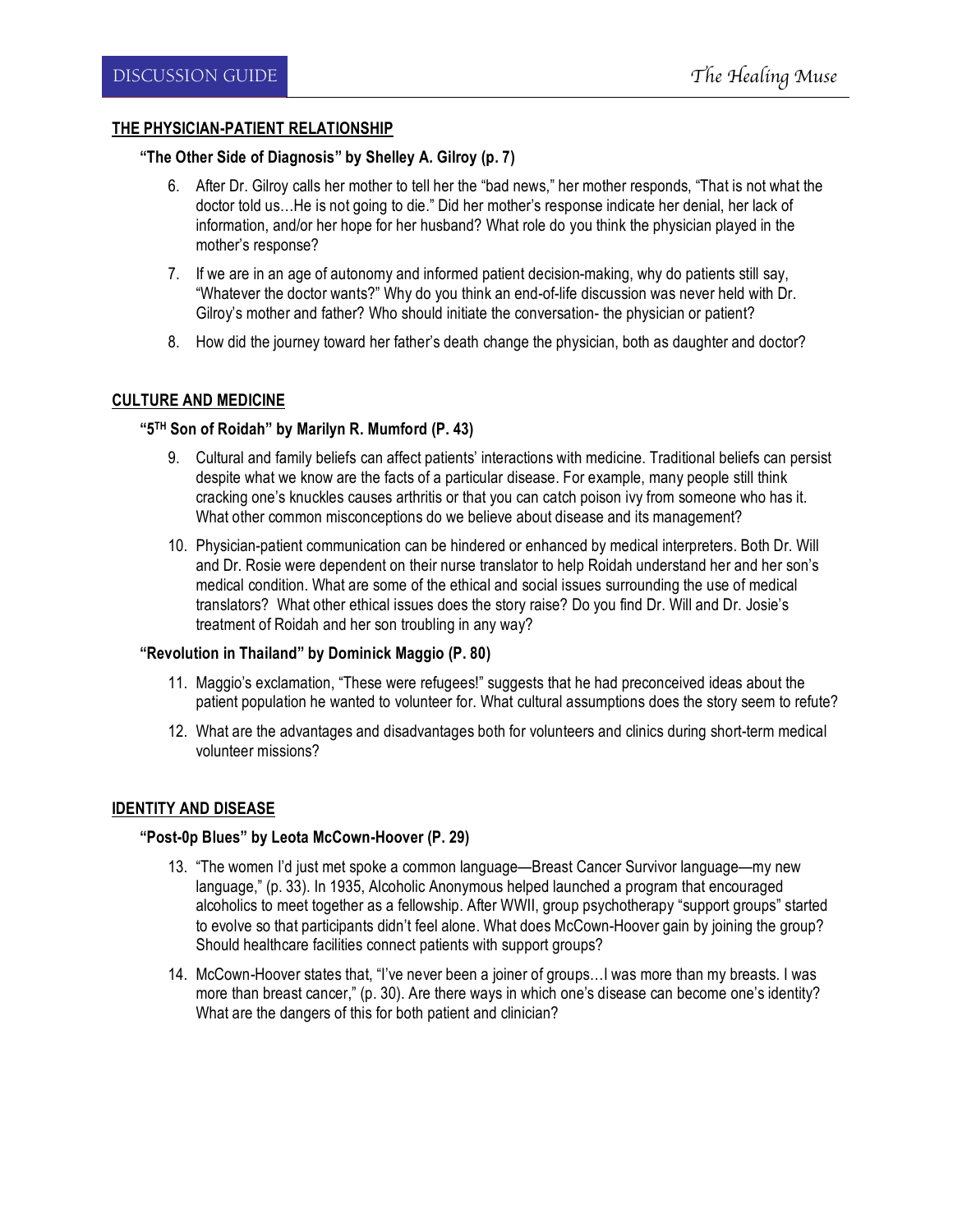## **THE PHYSICIAN-PATIENT RELATIONSHIP**

## **"The Other Side of Diagnosis" by Shelley A. Gilroy (p. 7)**

- 6. After Dr. Gilroy calls her mother to tell her the "bad news," her mother responds, "That is not what the doctor told us…He is not going to die." Did her mother's response indicate her denial, her lack of information, and/or her hope for her husband? What role do you think the physician played in the mother's response?
- 7. If we are in an age of autonomy and informed patient decision-making, why do patients still say, "Whatever the doctor wants?" Why do you think an end-of-life discussion was never held with Dr. Gilroy's mother and father? Who should initiate the conversation- the physician or patient?
- 8. How did the journey toward her father's death change the physician, both as daughter and doctor?

#### **CULTURE AND MEDICINE**

#### **"5TH Son of Roidah" by Marilyn R. Mumford (P. 43)**

- 9. Cultural and family beliefs can affect patients' interactions with medicine. Traditional beliefs can persist despite what we know are the facts of a particular disease. For example, many people still think cracking one's knuckles causes arthritis or that you can catch poison ivy from someone who has it. What other common misconceptions do we believe about disease and its management?
- 10. Physician-patient communication can be hindered or enhanced by medical interpreters. Both Dr. Will and Dr. Rosie were dependent on their nurse translator to help Roidah understand her and her son's medical condition. What are some of the ethical and social issues surrounding the use of medical translators? What other ethical issues does the story raise? Do you find Dr. Will and Dr. Josie's treatment of Roidah and her son troubling in any way?

#### **"Revolution in Thailand" by Dominick Maggio (P. 80)**

- 11. Maggio's exclamation, "These were refugees!" suggests that he had preconceived ideas about the patient population he wanted to volunteer for. What cultural assumptions does the story seem to refute?
- 12. What are the advantages and disadvantages both for volunteers and clinics during short-term medical volunteer missions?

## **IDENTITY AND DISEASE**

#### **"Post-0p Blues" by Leota McCown-Hoover (P. 29)**

- 13. "The women I'd just met spoke a common language—Breast Cancer Survivor language—my new language," (p. 33). In 1935, Alcoholic Anonymous helped launched a program that encouraged alcoholics to meet together as a fellowship. After WWII, group psychotherapy "support groups" started to evolve so that participants didn't feel alone. What does McCown-Hoover gain by joining the group? Should healthcare facilities connect patients with support groups?
- 14. McCown-Hoover states that, "I've never been a joiner of groups…I was more than my breasts. I was more than breast cancer," (p. 30). Are there ways in which one's disease can become one's identity? What are the dangers of this for both patient and clinician?